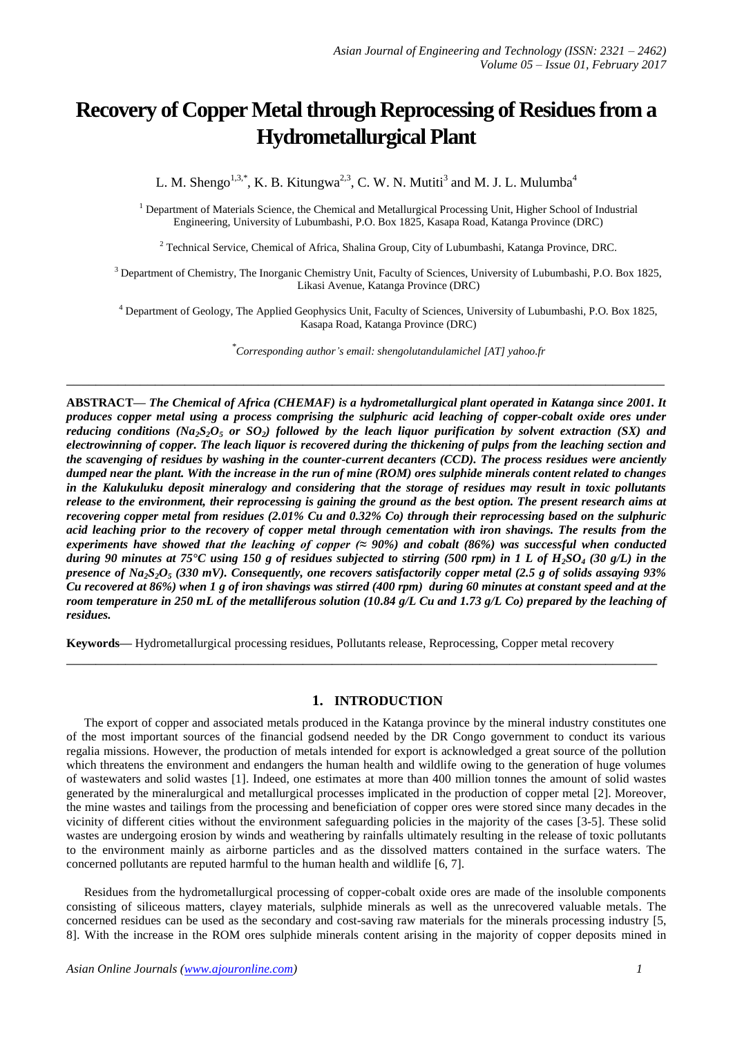# **Recovery of Copper Metal through Reprocessing of Residues from a Hydrometallurgical Plant**

L. M. Shengo<sup>1,3,\*</sup>, K. B. Kitungwa<sup>2,3</sup>, C. W. N. Mutiti<sup>3</sup> and M. J. L. Mulumba<sup>4</sup>

<sup>1</sup> Department of Materials Science, the Chemical and Metallurgical Processing Unit, Higher School of Industrial Engineering, University of Lubumbashi, P.O. Box 1825, Kasapa Road, Katanga Province (DRC)

<sup>2</sup> Technical Service, Chemical of Africa, Shalina Group, City of Lubumbashi, Katanga Province, DRC.

<sup>3</sup> Department of Chemistry, The Inorganic Chemistry Unit, Faculty of Sciences, University of Lubumbashi, P.O. Box 1825, Likasi Avenue, Katanga Province (DRC)

<sup>4</sup> Department of Geology, The Applied Geophysics Unit, Faculty of Sciences, University of Lubumbashi, P.O. Box 1825, Kasapa Road, Katanga Province (DRC)

*\* Corresponding author's email: shengolutandulamichel [AT] yahoo.fr*

**ABSTRACT—** *The Chemical of Africa (CHEMAF) is a hydrometallurgical plant operated in Katanga since 2001. It produces copper metal using a process comprising the sulphuric acid leaching of copper-cobalt oxide ores under reducing conditions (Na2S2O<sup>5</sup> or SO2) followed by the leach liquor purification by solvent extraction (SX) and electrowinning of copper. The leach liquor is recovered during the thickening of pulps from the leaching section and the scavenging of residues by washing in the counter-current decanters (CCD). The process residues were anciently dumped near the plant. With the increase in the run of mine (ROM) ores sulphide minerals content related to changes in the Kalukuluku deposit mineralogy and considering that the storage of residues may result in toxic pollutants release to the environment, their reprocessing is gaining the ground as the best option. The present research aims at recovering copper metal from residues (2.01% Cu and 0.32% Co) through their reprocessing based on the sulphuric acid leaching prior to the recovery of copper metal through cementation with iron shavings. The results from the experiments have showed that the leaching of copper (≈ 90%) and cobalt (86%) was successful when conducted during 90 minutes at 75°C using 150 g of residues subjected to stirring (500 rpm) in 1 L of H2SO<sup>4</sup> (30 g/L) in the presence of Na2S2O<sup>5</sup> (330 mV). Consequently, one recovers satisfactorily copper metal (2.5 g of solids assaying 93% Cu recovered at 86%) when 1 g of iron shavings was stirred (400 rpm) during 60 minutes at constant speed and at the room temperature in 250 mL of the metalliferous solution (10.84 g/L Cu and 1.73 g/L Co) prepared by the leaching of residues.*

**\_\_\_\_\_\_\_\_\_\_\_\_\_\_\_\_\_\_\_\_\_\_\_\_\_\_\_\_\_\_\_\_\_\_\_\_\_\_\_\_\_\_\_\_\_\_\_\_\_\_\_\_\_\_\_\_\_\_\_\_\_\_\_\_\_\_\_\_\_\_\_\_\_\_\_\_\_\_\_\_\_**

**Keywords—** Hydrometallurgical processing residues, Pollutants release, Reprocessing, Copper metal recovery

# **1. INTRODUCTION**

**\_\_\_\_\_\_\_\_\_\_\_\_\_\_\_\_\_\_\_\_\_\_\_\_\_\_\_\_\_\_\_\_\_\_\_\_\_\_\_\_\_\_\_\_\_\_\_\_\_\_\_\_\_\_\_\_\_\_\_\_\_\_\_\_\_\_\_\_\_\_\_\_\_\_\_\_\_\_\_\_**

The export of copper and associated metals produced in the Katanga province by the mineral industry constitutes one of the most important sources of the financial godsend needed by the DR Congo government to conduct its various regalia missions. However, the production of metals intended for export is acknowledged a great source of the pollution which threatens the environment and endangers the human health and wildlife owing to the generation of huge volumes of wastewaters and solid wastes [1]. Indeed, one estimates at more than 400 million tonnes the amount of solid wastes generated by the mineralurgical and metallurgical processes implicated in the production of copper metal [2]. Moreover, the mine wastes and tailings from the processing and beneficiation of copper ores were stored since many decades in the vicinity of different cities without the environment safeguarding policies in the majority of the cases [3-5]. These solid wastes are undergoing erosion by winds and weathering by rainfalls ultimately resulting in the release of toxic pollutants to the environment mainly as airborne particles and as the dissolved matters contained in the surface waters. The concerned pollutants are reputed harmful to the human health and wildlife [6, 7].

Residues from the hydrometallurgical processing of copper-cobalt oxide ores are made of the insoluble components consisting of siliceous matters, clayey materials, sulphide minerals as well as the unrecovered valuable metals. The concerned residues can be used as the secondary and cost-saving raw materials for the minerals processing industry [5, 8]. With the increase in the ROM ores sulphide minerals content arising in the majority of copper deposits mined in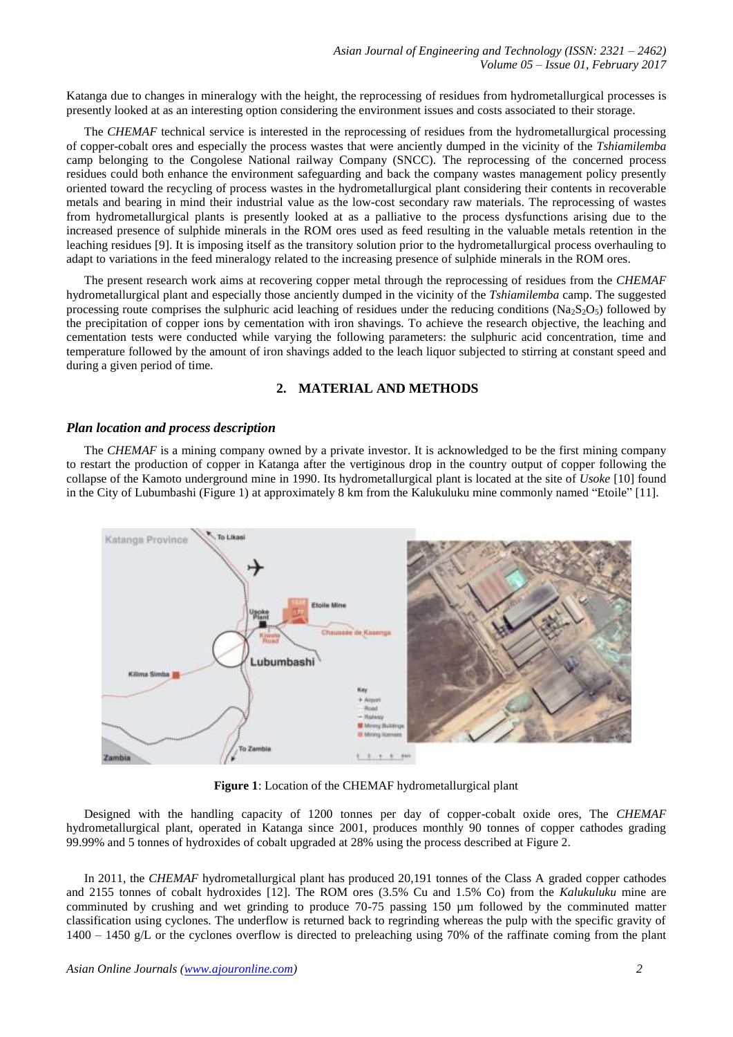Katanga due to changes in mineralogy with the height, the reprocessing of residues from hydrometallurgical processes is presently looked at as an interesting option considering the environment issues and costs associated to their storage.

The *CHEMAF* technical service is interested in the reprocessing of residues from the hydrometallurgical processing of copper-cobalt ores and especially the process wastes that were anciently dumped in the vicinity of the *Tshiamilemba* camp belonging to the Congolese National railway Company (SNCC). The reprocessing of the concerned process residues could both enhance the environment safeguarding and back the company wastes management policy presently oriented toward the recycling of process wastes in the hydrometallurgical plant considering their contents in recoverable metals and bearing in mind their industrial value as the low-cost secondary raw materials. The reprocessing of wastes from hydrometallurgical plants is presently looked at as a palliative to the process dysfunctions arising due to the increased presence of sulphide minerals in the ROM ores used as feed resulting in the valuable metals retention in the leaching residues [9]. It is imposing itself as the transitory solution prior to the hydrometallurgical process overhauling to adapt to variations in the feed mineralogy related to the increasing presence of sulphide minerals in the ROM ores.

The present research work aims at recovering copper metal through the reprocessing of residues from the *CHEMAF* hydrometallurgical plant and especially those anciently dumped in the vicinity of the *Tshiamilemba* camp. The suggested processing route comprises the sulphuric acid leaching of residues under the reducing conditions (Na<sub>2</sub>S<sub>2</sub>O<sub>5</sub>) followed by the precipitation of copper ions by cementation with iron shavings. To achieve the research objective, the leaching and cementation tests were conducted while varying the following parameters: the sulphuric acid concentration, time and temperature followed by the amount of iron shavings added to the leach liquor subjected to stirring at constant speed and during a given period of time.

# **2. MATERIAL AND METHODS**

#### *Plan location and process description*

The *CHEMAF* is a mining company owned by a private investor. It is acknowledged to be the first mining company to restart the production of copper in Katanga after the vertiginous drop in the country output of copper following the collapse of the Kamoto underground mine in 1990. Its hydrometallurgical plant is located at the site of *Usoke* [10] found in the City of Lubumbashi (Figure 1) at approximately 8 km from the Kalukuluku mine commonly named "Etoile" [11].



**Figure 1**: Location of the CHEMAF hydrometallurgical plant

Designed with the handling capacity of 1200 tonnes per day of copper-cobalt oxide ores, The *CHEMAF* hydrometallurgical plant, operated in Katanga since 2001, produces monthly 90 tonnes of copper cathodes grading 99.99% and 5 tonnes of hydroxides of cobalt upgraded at 28% using the process described at Figure 2.

In 2011, the *CHEMAF* hydrometallurgical plant has produced 20,191 tonnes of the Class A graded copper cathodes and 2155 tonnes of cobalt hydroxides [12]. The ROM ores (3.5% Cu and 1.5% Co) from the *Kalukuluku* mine are comminuted by crushing and wet grinding to produce 70-75 passing 150 µm followed by the comminuted matter classification using cyclones. The underflow is returned back to regrinding whereas the pulp with the specific gravity of 1400 – 1450 g/L or the cyclones overflow is directed to preleaching using 70% of the raffinate coming from the plant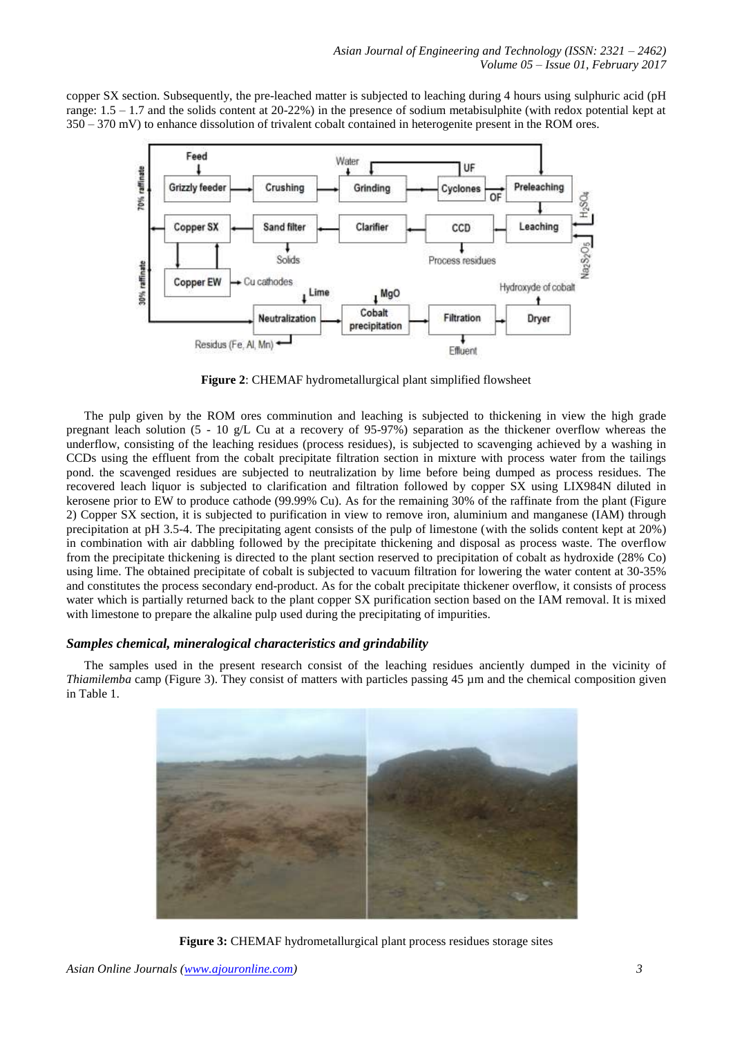copper SX section. Subsequently, the pre-leached matter is subjected to leaching during 4 hours using sulphuric acid (pH range:  $1.5 - 1.7$  and the solids content at 20-22%) in the presence of sodium metabisulphite (with redox potential kept at 350 – 370 mV) to enhance dissolution of trivalent cobalt contained in heterogenite present in the ROM ores.



**Figure 2**: CHEMAF hydrometallurgical plant simplified flowsheet

The pulp given by the ROM ores comminution and leaching is subjected to thickening in view the high grade pregnant leach solution (5 - 10 g/L Cu at a recovery of 95-97%) separation as the thickener overflow whereas the underflow, consisting of the leaching residues (process residues), is subjected to scavenging achieved by a washing in CCDs using the effluent from the cobalt precipitate filtration section in mixture with process water from the tailings pond. the scavenged residues are subjected to neutralization by lime before being dumped as process residues. The recovered leach liquor is subjected to clarification and filtration followed by copper SX using LIX984N diluted in kerosene prior to EW to produce cathode (99.99% Cu). As for the remaining 30% of the raffinate from the plant (Figure 2) Copper SX section, it is subjected to purification in view to remove iron, aluminium and manganese (IAM) through precipitation at pH 3.5-4. The precipitating agent consists of the pulp of limestone (with the solids content kept at 20%) in combination with air dabbling followed by the precipitate thickening and disposal as process waste. The overflow from the precipitate thickening is directed to the plant section reserved to precipitation of cobalt as hydroxide (28% Co) using lime. The obtained precipitate of cobalt is subjected to vacuum filtration for lowering the water content at 30-35% and constitutes the process secondary end-product. As for the cobalt precipitate thickener overflow, it consists of process water which is partially returned back to the plant copper SX purification section based on the IAM removal. It is mixed with limestone to prepare the alkaline pulp used during the precipitating of impurities.

# *Samples chemical, mineralogical characteristics and grindability*

The samples used in the present research consist of the leaching residues anciently dumped in the vicinity of *Thiamilemba* camp (Figure 3). They consist of matters with particles passing 45 µm and the chemical composition given in Table 1.



**Figure 3:** CHEMAF hydrometallurgical plant process residues storage sites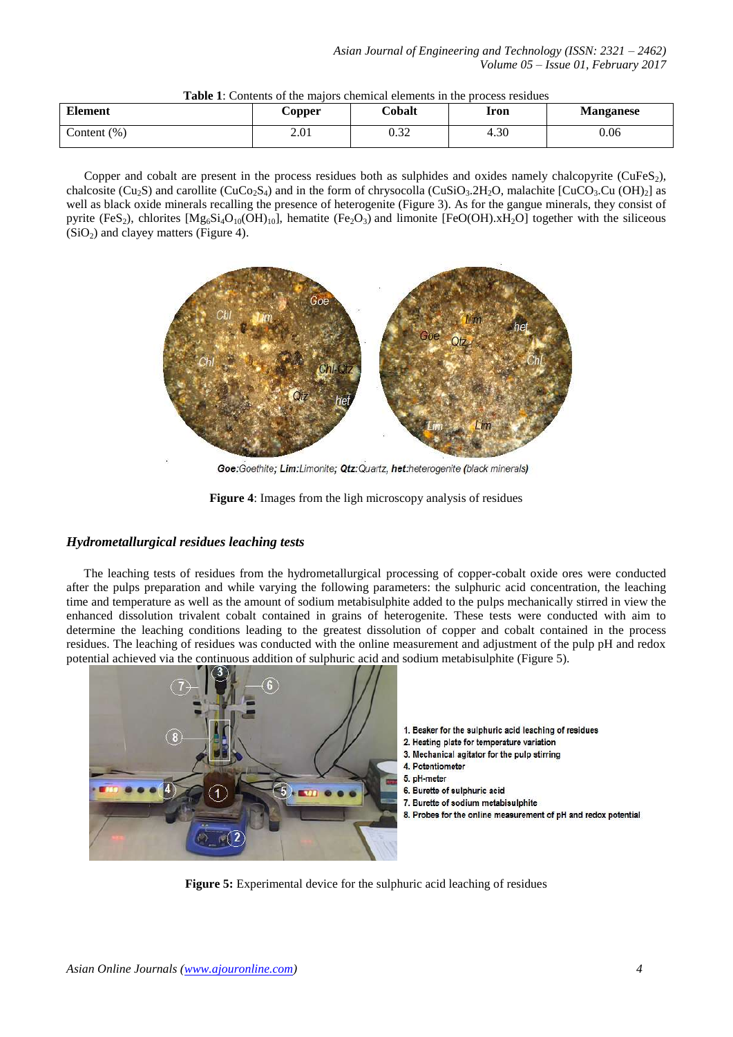| <b>Element</b> | Copper | Cobalt      | Iron | <b>Manganese</b> |
|----------------|--------|-------------|------|------------------|
| Content $(\%)$ | 2.01   | റാറ<br>U.JZ | 4.30 | 0.06             |

# **Table 1**: Contents of the majors chemical elements in the process residues

Copper and cobalt are present in the process residues both as sulphides and oxides namely chalcopyrite (CuFeS $_2$ ), chalcosite (Cu<sub>2</sub>S) and carollite (CuCo<sub>2</sub>S<sub>4</sub>) and in the form of chrysocolla (CuSiO<sub>3</sub>.2H<sub>2</sub>O, malachite [CuCO<sub>3</sub>.Cu (OH)<sub>2</sub>] as well as black oxide minerals recalling the presence of heterogenite (Figure 3). As for the gangue minerals, they consist of pyrite (FeS<sub>2</sub>), chlorites  $[Mg_6Si_4O_{10}(OH)_{10}]$ , hematite (Fe<sub>2</sub>O<sub>3</sub>) and limonite [FeO(OH).xH<sub>2</sub>O] together with the siliceous  $(SiO<sub>2</sub>)$  and clayey matters (Figure 4).



Goe: Goethite; Lim: Limonite; Qtz: Quartz, het: heterogenite (black minerals)



# *Hydrometallurgical residues leaching tests*

The leaching tests of residues from the hydrometallurgical processing of copper-cobalt oxide ores were conducted after the pulps preparation and while varying the following parameters: the sulphuric acid concentration, the leaching time and temperature as well as the amount of sodium metabisulphite added to the pulps mechanically stirred in view the enhanced dissolution trivalent cobalt contained in grains of heterogenite. These tests were conducted with aim to determine the leaching conditions leading to the greatest dissolution of copper and cobalt contained in the process residues. The leaching of residues was conducted with the online measurement and adjustment of the pulp pH and redox potential achieved via the continuous addition of sulphuric acid and sodium metabisulphite (Figure 5).



**Figure 5:** Experimental device for the sulphuric acid leaching of residues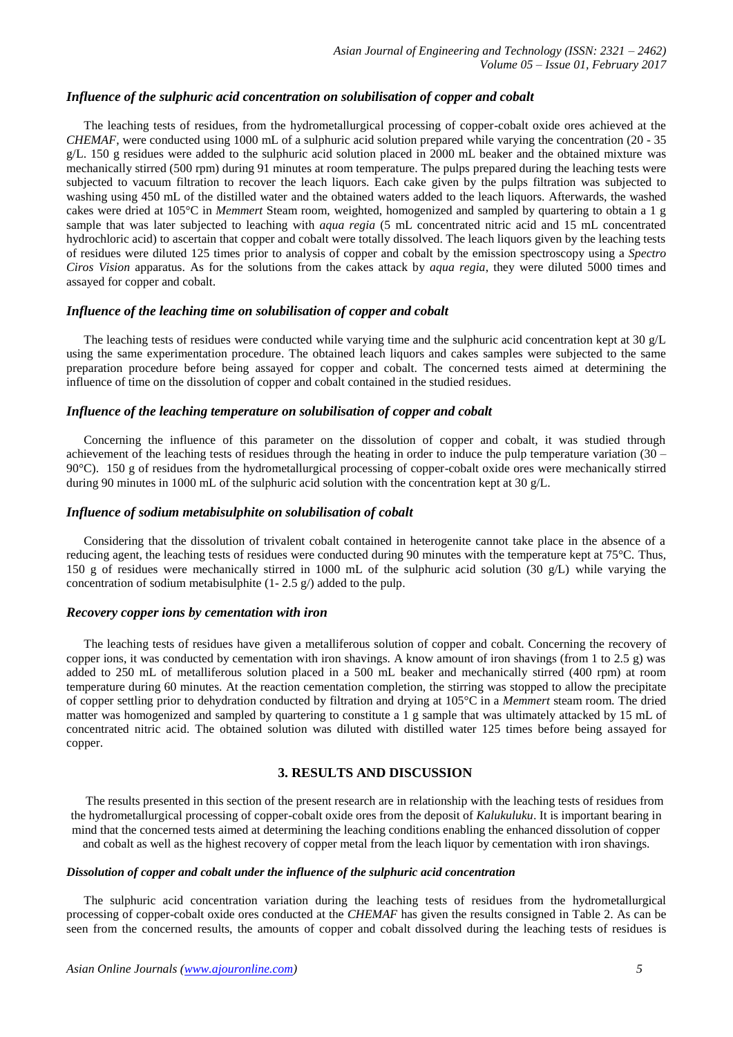#### *Influence of the sulphuric acid concentration on solubilisation of copper and cobalt*

The leaching tests of residues, from the hydrometallurgical processing of copper-cobalt oxide ores achieved at the *CHEMAF*, were conducted using 1000 mL of a sulphuric acid solution prepared while varying the concentration (20 - 35 g/L. 150 g residues were added to the sulphuric acid solution placed in 2000 mL beaker and the obtained mixture was mechanically stirred (500 rpm) during 91 minutes at room temperature. The pulps prepared during the leaching tests were subjected to vacuum filtration to recover the leach liquors. Each cake given by the pulps filtration was subjected to washing using 450 mL of the distilled water and the obtained waters added to the leach liquors. Afterwards, the washed cakes were dried at 105°C in *Memmert* Steam room, weighted, homogenized and sampled by quartering to obtain a 1 g sample that was later subjected to leaching with *aqua regia* (5 mL concentrated nitric acid and 15 mL concentrated hydrochloric acid) to ascertain that copper and cobalt were totally dissolved. The leach liquors given by the leaching tests of residues were diluted 125 times prior to analysis of copper and cobalt by the emission spectroscopy using a *Spectro Ciros Vision* apparatus. As for the solutions from the cakes attack by *aqua regia*, they were diluted 5000 times and assayed for copper and cobalt.

#### *Influence of the leaching time on solubilisation of copper and cobalt*

The leaching tests of residues were conducted while varying time and the sulphuric acid concentration kept at 30 g/L using the same experimentation procedure. The obtained leach liquors and cakes samples were subjected to the same preparation procedure before being assayed for copper and cobalt. The concerned tests aimed at determining the influence of time on the dissolution of copper and cobalt contained in the studied residues.

# *Influence of the leaching temperature on solubilisation of copper and cobalt*

Concerning the influence of this parameter on the dissolution of copper and cobalt, it was studied through achievement of the leaching tests of residues through the heating in order to induce the pulp temperature variation (30 – 90°C). 150 g of residues from the hydrometallurgical processing of copper-cobalt oxide ores were mechanically stirred during 90 minutes in 1000 mL of the sulphuric acid solution with the concentration kept at 30  $g/L$ .

#### *Influence of sodium metabisulphite on solubilisation of cobalt*

Considering that the dissolution of trivalent cobalt contained in heterogenite cannot take place in the absence of a reducing agent, the leaching tests of residues were conducted during 90 minutes with the temperature kept at 75°C. Thus, 150 g of residues were mechanically stirred in 1000 mL of the sulphuric acid solution (30 g/L) while varying the concentration of sodium metabisulphite (1- 2.5 g/) added to the pulp.

#### *Recovery copper ions by cementation with iron*

The leaching tests of residues have given a metalliferous solution of copper and cobalt. Concerning the recovery of copper ions, it was conducted by cementation with iron shavings. A know amount of iron shavings (from 1 to 2.5 g) was added to 250 mL of metalliferous solution placed in a 500 mL beaker and mechanically stirred (400 rpm) at room temperature during 60 minutes. At the reaction cementation completion, the stirring was stopped to allow the precipitate of copper settling prior to dehydration conducted by filtration and drying at 105°C in a *Memmert* steam room. The dried matter was homogenized and sampled by quartering to constitute a 1 g sample that was ultimately attacked by 15 mL of concentrated nitric acid. The obtained solution was diluted with distilled water 125 times before being assayed for copper.

#### **3. RESULTS AND DISCUSSION**

The results presented in this section of the present research are in relationship with the leaching tests of residues from the hydrometallurgical processing of copper-cobalt oxide ores from the deposit of *Kalukuluku*. It is important bearing in mind that the concerned tests aimed at determining the leaching conditions enabling the enhanced dissolution of copper and cobalt as well as the highest recovery of copper metal from the leach liquor by cementation with iron shavings.

#### *Dissolution of copper and cobalt under the influence of the sulphuric acid concentration*

The sulphuric acid concentration variation during the leaching tests of residues from the hydrometallurgical processing of copper-cobalt oxide ores conducted at the *CHEMAF* has given the results consigned in Table 2. As can be seen from the concerned results, the amounts of copper and cobalt dissolved during the leaching tests of residues is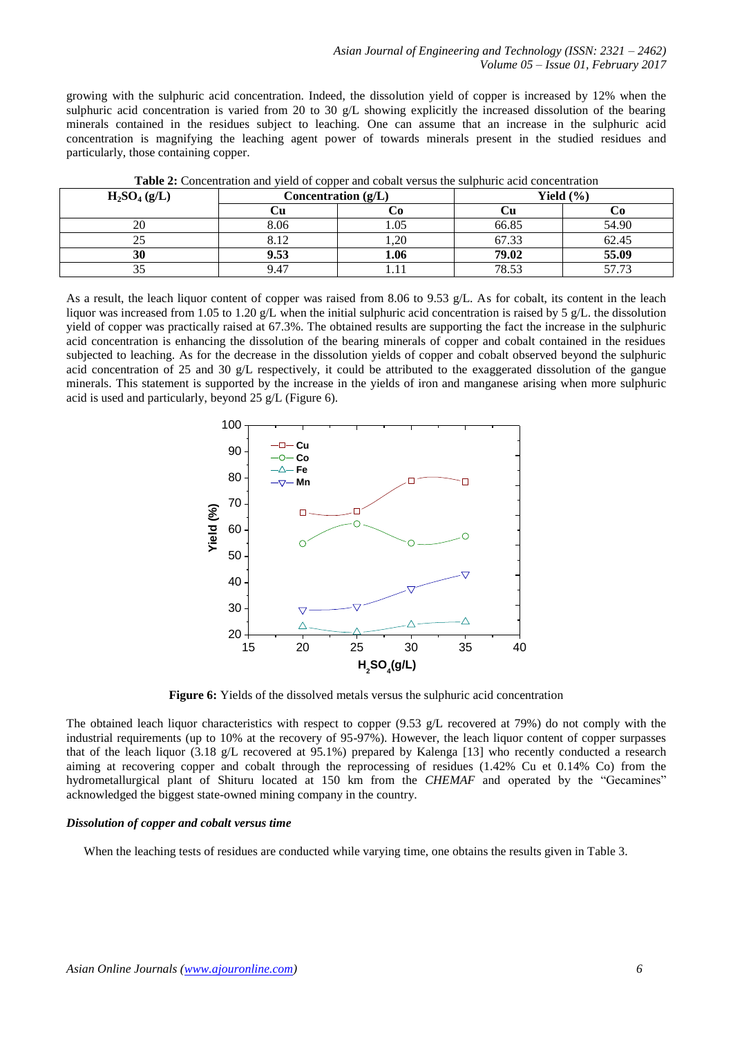growing with the sulphuric acid concentration. Indeed, the dissolution yield of copper is increased by 12% when the sulphuric acid concentration is varied from 20 to 30 g/L showing explicitly the increased dissolution of the bearing minerals contained in the residues subject to leaching. One can assume that an increase in the sulphuric acid concentration is magnifying the leaching agent power of towards minerals present in the studied residues and particularly, those containing copper.

| $H_2SO_4(g/L)$ | Concentration (g/L) |      | Yield $(\% )$ |       |  |  |
|----------------|---------------------|------|---------------|-------|--|--|
|                |                     |      |               |       |  |  |
| 20             | 8.06                | . 05 | 66.85         | 54.90 |  |  |
|                | 8.12                | .20  | 67.33         | 62.45 |  |  |
| 30             | 9.53                | 1.06 | 79.02         | 55.09 |  |  |
| ے ر            | 9.47                |      | 78.53         | 57 73 |  |  |

**Table 2:** Concentration and yield of copper and cobalt versus the sulphuric acid concentration

As a result, the leach liquor content of copper was raised from 8.06 to 9.53 g/L. As for cobalt, its content in the leach liquor was increased from 1.05 to 1.20 g/L when the initial sulphuric acid concentration is raised by 5 g/L. the dissolution yield of copper was practically raised at 67.3%. The obtained results are supporting the fact the increase in the sulphuric acid concentration is enhancing the dissolution of the bearing minerals of copper and cobalt contained in the residues subjected to leaching. As for the decrease in the dissolution yields of copper and cobalt observed beyond the sulphuric acid concentration of 25 and 30 g/L respectively, it could be attributed to the exaggerated dissolution of the gangue minerals. This statement is supported by the increase in the yields of iron and manganese arising when more sulphuric acid is used and particularly, beyond 25 g/L (Figure 6).



**Figure 6:** Yields of the dissolved metals versus the sulphuric acid concentration

The obtained leach liquor characteristics with respect to copper (9.53 g/L recovered at 79%) do not comply with the industrial requirements (up to 10% at the recovery of 95-97%). However, the leach liquor content of copper surpasses that of the leach liquor (3.18 g/L recovered at 95.1%) prepared by Kalenga [13] who recently conducted a research aiming at recovering copper and cobalt through the reprocessing of residues (1.42% Cu et 0.14% Co) from the hydrometallurgical plant of Shituru located at 150 km from the *CHEMAF* and operated by the "Gecamines" acknowledged the biggest state-owned mining company in the country.

# *Dissolution of copper and cobalt versus time*

When the leaching tests of residues are conducted while varying time, one obtains the results given in Table 3.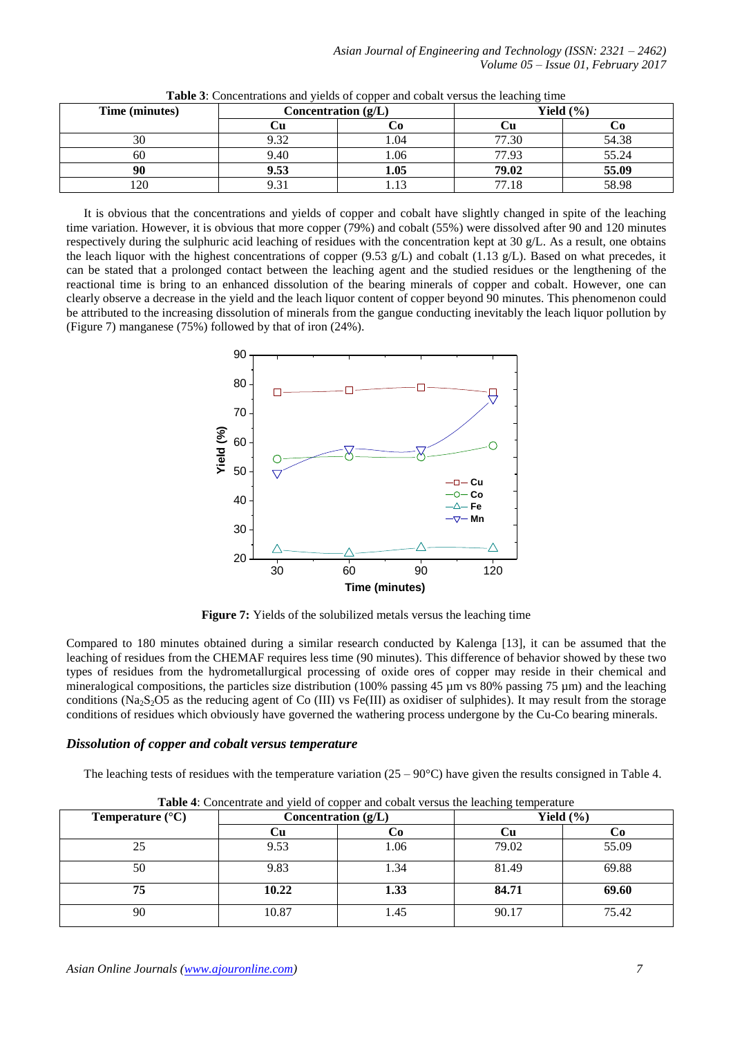| Time (minutes) | Concentration (g/L) |      | Yield $(\% )$ |       |  |
|----------------|---------------------|------|---------------|-------|--|
|                |                     |      |               |       |  |
| 30             | 9.32                |      | 77.30         | 54.38 |  |
| 60             | 9.40                | .06  | 77.93         | 55.24 |  |
|                | 9.53                | 1.05 | 79.02         | 55.09 |  |
| 120            | $\sim$              |      | 77 18         | 58.98 |  |

**Table 3**: Concentrations and yields of copper and cobalt versus the leaching time

It is obvious that the concentrations and yields of copper and cobalt have slightly changed in spite of the leaching time variation. However, it is obvious that more copper (79%) and cobalt (55%) were dissolved after 90 and 120 minutes respectively during the sulphuric acid leaching of residues with the concentration kept at 30 g/L. As a result, one obtains the leach liquor with the highest concentrations of copper (9.53 g/L) and cobalt (1.13 g/L). Based on what precedes, it can be stated that a prolonged contact between the leaching agent and the studied residues or the lengthening of the reactional time is bring to an enhanced dissolution of the bearing minerals of copper and cobalt. However, one can clearly observe a decrease in the yield and the leach liquor content of copper beyond 90 minutes. This phenomenon could be attributed to the increasing dissolution of minerals from the gangue conducting inevitably the leach liquor pollution by (Figure 7) manganese (75%) followed by that of iron (24%).



**Figure 7:** Yields of the solubilized metals versus the leaching time

Compared to 180 minutes obtained during a similar research conducted by Kalenga [13], it can be assumed that the leaching of residues from the CHEMAF requires less time (90 minutes). This difference of behavior showed by these two types of residues from the hydrometallurgical processing of oxide ores of copper may reside in their chemical and mineralogical compositions, the particles size distribution (100% passing 45 µm vs 80% passing 75 µm) and the leaching conditions (Na<sub>2</sub>S<sub>2</sub>O5 as the reducing agent of Co (III) vs Fe(III) as oxidiser of sulphides). It may result from the storage conditions of residues which obviously have governed the wathering process undergone by the Cu-Co bearing minerals.

# *Dissolution of copper and cobalt versus temperature*

The leaching tests of residues with the temperature variation  $(25 - 90^{\circ}C)$  have given the results consigned in Table 4.

| <b>Temperature</b> $(^{\circ}C)$ | Concentration $(g/L)$ |      | Yield $(\% )$ |       |  |
|----------------------------------|-----------------------|------|---------------|-------|--|
|                                  |                       |      |               | U∪    |  |
| 25                               | 9.53                  | 1.06 | 79.02         | 55.09 |  |
| 50                               | 9.83                  | 1.34 | 81.49         | 69.88 |  |
| 75                               | 10.22                 | 1.33 | 84.71         | 69.60 |  |
| 90                               | 10.87                 | 1.45 | 90.17         | 75.42 |  |

**Table 4**: Concentrate and yield of copper and cobalt versus the leaching temperature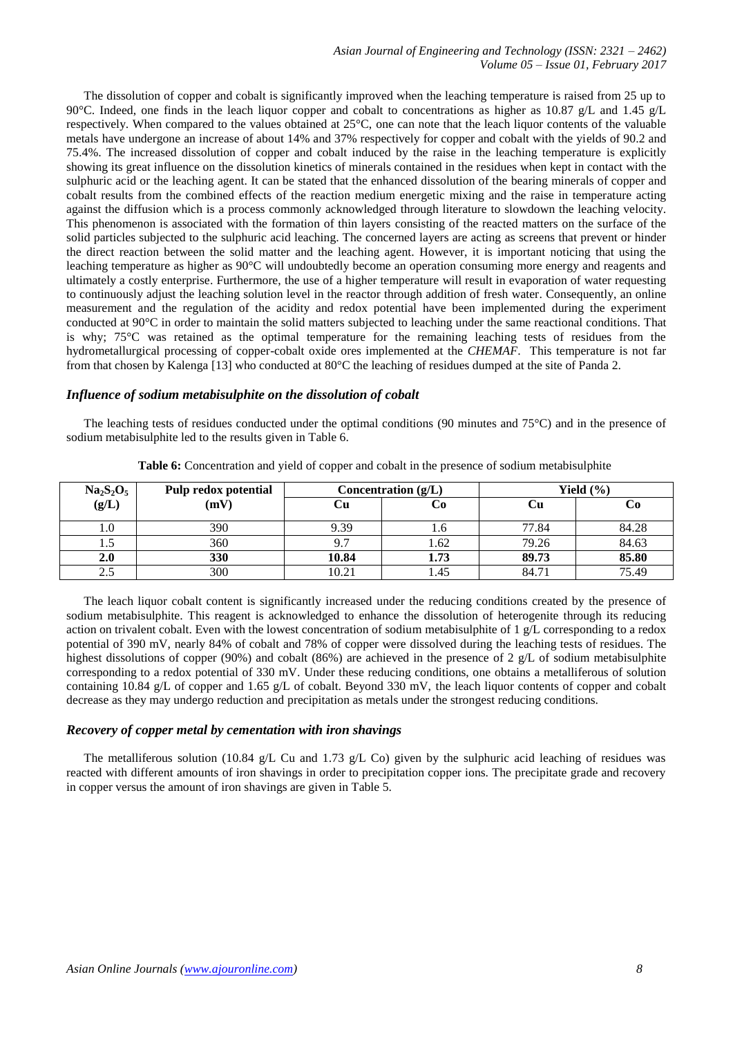The dissolution of copper and cobalt is significantly improved when the leaching temperature is raised from 25 up to 90°C. Indeed, one finds in the leach liquor copper and cobalt to concentrations as higher as 10.87 g/L and 1.45 g/L respectively. When compared to the values obtained at 25°C, one can note that the leach liquor contents of the valuable metals have undergone an increase of about 14% and 37% respectively for copper and cobalt with the yields of 90.2 and 75.4%. The increased dissolution of copper and cobalt induced by the raise in the leaching temperature is explicitly showing its great influence on the dissolution kinetics of minerals contained in the residues when kept in contact with the sulphuric acid or the leaching agent. It can be stated that the enhanced dissolution of the bearing minerals of copper and cobalt results from the combined effects of the reaction medium energetic mixing and the raise in temperature acting against the diffusion which is a process commonly acknowledged through literature to slowdown the leaching velocity. This phenomenon is associated with the formation of thin layers consisting of the reacted matters on the surface of the solid particles subjected to the sulphuric acid leaching. The concerned layers are acting as screens that prevent or hinder the direct reaction between the solid matter and the leaching agent. However, it is important noticing that using the leaching temperature as higher as 90°C will undoubtedly become an operation consuming more energy and reagents and ultimately a costly enterprise. Furthermore, the use of a higher temperature will result in evaporation of water requesting to continuously adjust the leaching solution level in the reactor through addition of fresh water. Consequently, an online measurement and the regulation of the acidity and redox potential have been implemented during the experiment conducted at 90°C in order to maintain the solid matters subjected to leaching under the same reactional conditions. That is why; 75°C was retained as the optimal temperature for the remaining leaching tests of residues from the hydrometallurgical processing of copper-cobalt oxide ores implemented at the *CHEMAF*. This temperature is not far from that chosen by Kalenga [13] who conducted at 80°C the leaching of residues dumped at the site of Panda 2.

#### *Influence of sodium metabisulphite on the dissolution of cobalt*

The leaching tests of residues conducted under the optimal conditions (90 minutes and 75°C) and in the presence of sodium metabisulphite led to the results given in Table 6.

|                    | Pulp redox potential | Concentration $(g/L)$ |      | Yield $(\% )$ |       |  |
|--------------------|----------------------|-----------------------|------|---------------|-------|--|
| $Na2S2O5$<br>(g/L) | (mV)                 | Сu                    | Cо   |               |       |  |
| U                  | 390                  | 9.39                  | 1.O  | 77.84         | 84.28 |  |
|                    | 360                  | 9.7                   | 1.62 | 79.26         | 84.63 |  |
| 2.0                | 330                  | 10.84                 | 1.73 | 89.73         | 85.80 |  |
|                    | 300                  | 10.21                 | l.45 | 84.71         | 75.49 |  |

**Table 6:** Concentration and yield of copper and cobalt in the presence of sodium metabisulphite

The leach liquor cobalt content is significantly increased under the reducing conditions created by the presence of sodium metabisulphite. This reagent is acknowledged to enhance the dissolution of heterogenite through its reducing action on trivalent cobalt. Even with the lowest concentration of sodium metabisulphite of 1 g/L corresponding to a redox potential of 390 mV, nearly 84% of cobalt and 78% of copper were dissolved during the leaching tests of residues. The highest dissolutions of copper (90%) and cobalt (86%) are achieved in the presence of 2 g/L of sodium metabisulphite corresponding to a redox potential of 330 mV. Under these reducing conditions, one obtains a metalliferous of solution containing 10.84 g/L of copper and 1.65 g/L of cobalt. Beyond 330 mV, the leach liquor contents of copper and cobalt decrease as they may undergo reduction and precipitation as metals under the strongest reducing conditions.

#### *Recovery of copper metal by cementation with iron shavings*

The metalliferous solution (10.84 g/L Cu and 1.73 g/L Co) given by the sulphuric acid leaching of residues was reacted with different amounts of iron shavings in order to precipitation copper ions. The precipitate grade and recovery in copper versus the amount of iron shavings are given in Table 5.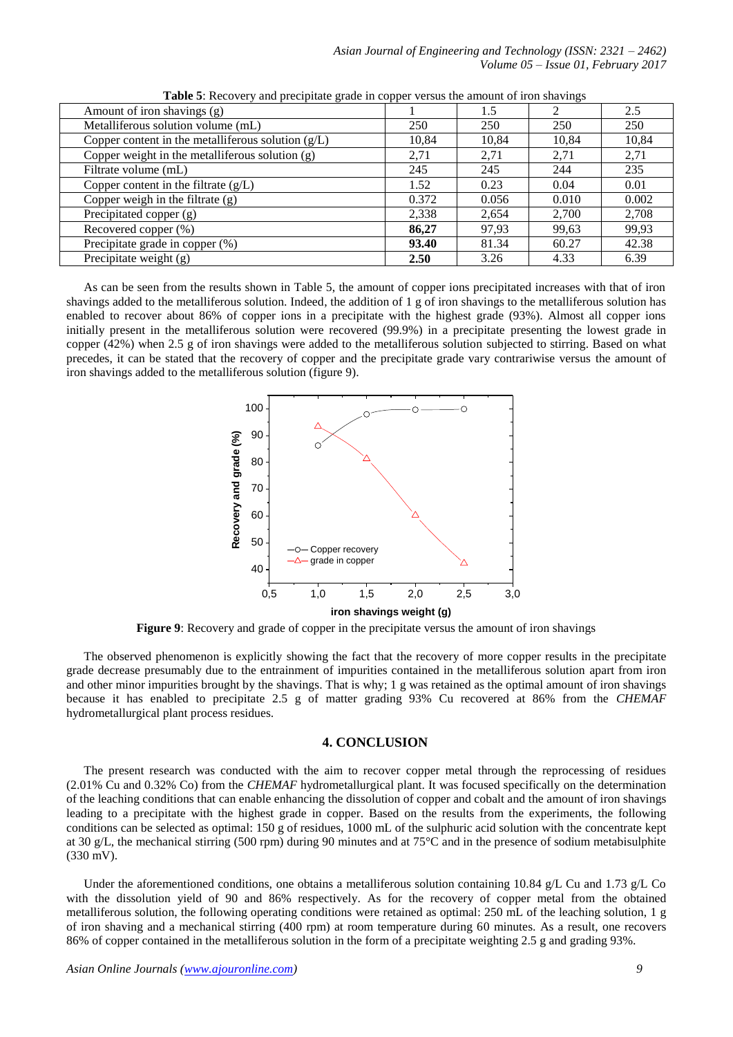| Amount of iron shavings (g)                          |       | 1.5   | 2     | 2.5   |
|------------------------------------------------------|-------|-------|-------|-------|
| Metalliferous solution volume (mL)                   | 250   | 250   | 250   | 250   |
| Copper content in the metalliferous solution $(g/L)$ | 10,84 | 10,84 | 10,84 | 10,84 |
| Copper weight in the metalliferous solution $(g)$    | 2,71  | 2,71  | 2,71  | 2,71  |
| Filtrate volume (mL)                                 | 245   | 245   | 244   | 235   |
| Copper content in the filtrate $(g/L)$               | 1.52  | 0.23  | 0.04  | 0.01  |
| Copper weigh in the filtrate $(g)$                   | 0.372 | 0.056 | 0.010 | 0.002 |
| Precipitated copper (g)                              | 2,338 | 2,654 | 2,700 | 2,708 |
| Recovered copper (%)                                 | 86,27 | 97,93 | 99,63 | 99,93 |
| Precipitate grade in copper (%)                      | 93.40 | 81.34 | 60.27 | 42.38 |
| Precipitate weight $(g)$                             | 2.50  | 3.26  | 4.33  | 6.39  |

**Table 5**: Recovery and precipitate grade in copper versus the amount of iron shavings

As can be seen from the results shown in Table 5, the amount of copper ions precipitated increases with that of iron shavings added to the metalliferous solution. Indeed, the addition of 1 g of iron shavings to the metalliferous solution has enabled to recover about 86% of copper ions in a precipitate with the highest grade (93%). Almost all copper ions initially present in the metalliferous solution were recovered (99.9%) in a precipitate presenting the lowest grade in copper (42%) when 2.5 g of iron shavings were added to the metalliferous solution subjected to stirring. Based on what precedes, it can be stated that the recovery of copper and the precipitate grade vary contrariwise versus the amount of iron shavings added to the metalliferous solution (figure 9).



**Figure 9**: Recovery and grade of copper in the precipitate versus the amount of iron shavings

The observed phenomenon is explicitly showing the fact that the recovery of more copper results in the precipitate grade decrease presumably due to the entrainment of impurities contained in the metalliferous solution apart from iron and other minor impurities brought by the shavings. That is why; 1 g was retained as the optimal amount of iron shavings because it has enabled to precipitate 2.5 g of matter grading 93% Cu recovered at 86% from the *CHEMAF* hydrometallurgical plant process residues.

#### **4. CONCLUSION**

The present research was conducted with the aim to recover copper metal through the reprocessing of residues (2.01% Cu and 0.32% Co) from the *CHEMAF* hydrometallurgical plant. It was focused specifically on the determination of the leaching conditions that can enable enhancing the dissolution of copper and cobalt and the amount of iron shavings leading to a precipitate with the highest grade in copper. Based on the results from the experiments, the following conditions can be selected as optimal: 150 g of residues, 1000 mL of the sulphuric acid solution with the concentrate kept at 30 g/L, the mechanical stirring (500 rpm) during 90 minutes and at 75 $\degree$ C and in the presence of sodium metabisulphite (330 mV).

Under the aforementioned conditions, one obtains a metalliferous solution containing 10.84 g/L Cu and 1.73 g/L Co with the dissolution yield of 90 and 86% respectively. As for the recovery of copper metal from the obtained metalliferous solution, the following operating conditions were retained as optimal: 250 mL of the leaching solution, 1 g of iron shaving and a mechanical stirring (400 rpm) at room temperature during 60 minutes. As a result, one recovers 86% of copper contained in the metalliferous solution in the form of a precipitate weighting 2.5 g and grading 93%.